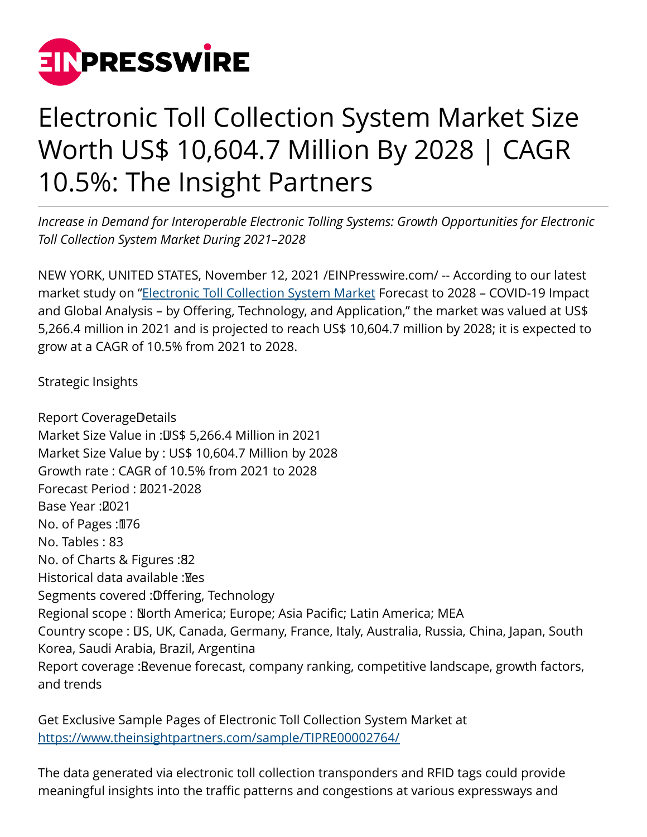

## Electronic Toll Collection System Market Size Worth US\$ 10,604.7 Million By 2028 | CAGR 10.5%: The Insight Partners

*Increase in Demand for Interoperable Electronic Tolling Systems: Growth Opportunities for Electronic Toll Collection System Market During 2021–2028*

NEW YORK, UNITED STATES, November 12, 2021 /[EINPresswire.com/](http://www.einpresswire.com) -- According to our latest market study on "[Electronic Toll Collection System Market](https://www.theinsightpartners.com/reports/electronic-toll-collection-systems/) Forecast to 2028 - COVID-19 Impact and Global Analysis – by Offering, Technology, and Application," the market was valued at US\$ 5,266.4 million in 2021 and is projected to reach US\$ 10,604.7 million by 2028; it is expected to grow at a CAGR of 10.5% from 2021 to 2028.

Strategic Insights

Report CoverageDetails Market Size Value in : US\$ 5,266.4 Million in 2021 Market Size Value by : US\$ 10,604.7 Million by 2028 Growth rate : CAGR of 10.5% from 2021 to 2028 Forecast Period : 0021-2028 Base Year: 2021 No. of Pages: 176 No. Tables : 83 No. of Charts & Figures: 82 Historical data available : Mes Segments covered : Offering, Technology Regional scope : North America; Europe; Asia Pacific; Latin America; MEA Country scope : US, UK, Canada, Germany, France, Italy, Australia, Russia, China, Japan, South Korea, Saudi Arabia, Brazil, Argentina Report coverage : Revenue forecast, company ranking, competitive landscape, growth factors, and trends

Get Exclusive Sample Pages of Electronic Toll Collection System Market at [https://www.theinsightpartners.com/sample/TIPRE00002764/](https://www.theinsightpartners.com/sample/TIPRE00002764/?utm_source=EINPressWire&utm_medium=10196)

The data generated via electronic toll collection transponders and RFID tags could provide meaningful insights into the traffic patterns and congestions at various expressways and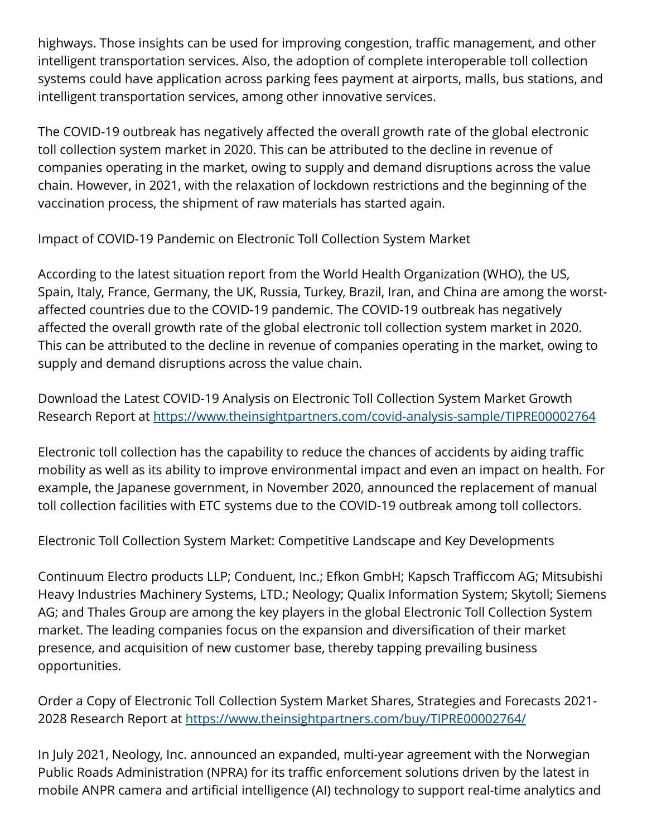highways. Those insights can be used for improving congestion, traffic management, and other intelligent transportation services. Also, the adoption of complete interoperable toll collection systems could have application across parking fees payment at airports, malls, bus stations, and intelligent transportation services, among other innovative services.

The COVID-19 outbreak has negatively affected the overall growth rate of the global electronic toll collection system market in 2020. This can be attributed to the decline in revenue of companies operating in the market, owing to supply and demand disruptions across the value chain. However, in 2021, with the relaxation of lockdown restrictions and the beginning of the vaccination process, the shipment of raw materials has started again.

Impact of COVID-19 Pandemic on Electronic Toll Collection System Market

According to the latest situation report from the World Health Organization (WHO), the US, Spain, Italy, France, Germany, the UK, Russia, Turkey, Brazil, Iran, and China are among the worstaffected countries due to the COVID-19 pandemic. The COVID-19 outbreak has negatively affected the overall growth rate of the global electronic toll collection system market in 2020. This can be attributed to the decline in revenue of companies operating in the market, owing to supply and demand disruptions across the value chain.

Download the Latest COVID-19 Analysis on Electronic Toll Collection System Market Growth Research Report at<https://www.theinsightpartners.com/covid-analysis-sample/TIPRE00002764>

Electronic toll collection has the capability to reduce the chances of accidents by aiding traffic mobility as well as its ability to improve environmental impact and even an impact on health. For example, the Japanese government, in November 2020, announced the replacement of manual toll collection facilities with ETC systems due to the COVID-19 outbreak among toll collectors.

Electronic Toll Collection System Market: Competitive Landscape and Key Developments

Continuum Electro products LLP; Conduent, Inc.; Efkon GmbH; Kapsch Trafficcom AG; Mitsubishi Heavy Industries Machinery Systems, LTD.; Neology; Qualix Information System; Skytoll; Siemens AG; and Thales Group are among the key players in the global Electronic Toll Collection System market. The leading companies focus on the expansion and diversification of their market presence, and acquisition of new customer base, thereby tapping prevailing business opportunities.

Order a Copy of Electronic Toll Collection System Market Shares, Strategies and Forecasts 2021- 2028 Research Report at [https://www.theinsightpartners.com/buy/TIPRE00002764/](https://www.theinsightpartners.com/buy/TIPRE00002764/?utm_source=EINPressWire&utm_medium=10196)

In July 2021, Neology, Inc. announced an expanded, multi-year agreement with the Norwegian Public Roads Administration (NPRA) for its traffic enforcement solutions driven by the latest in mobile ANPR camera and artificial intelligence (AI) technology to support real-time analytics and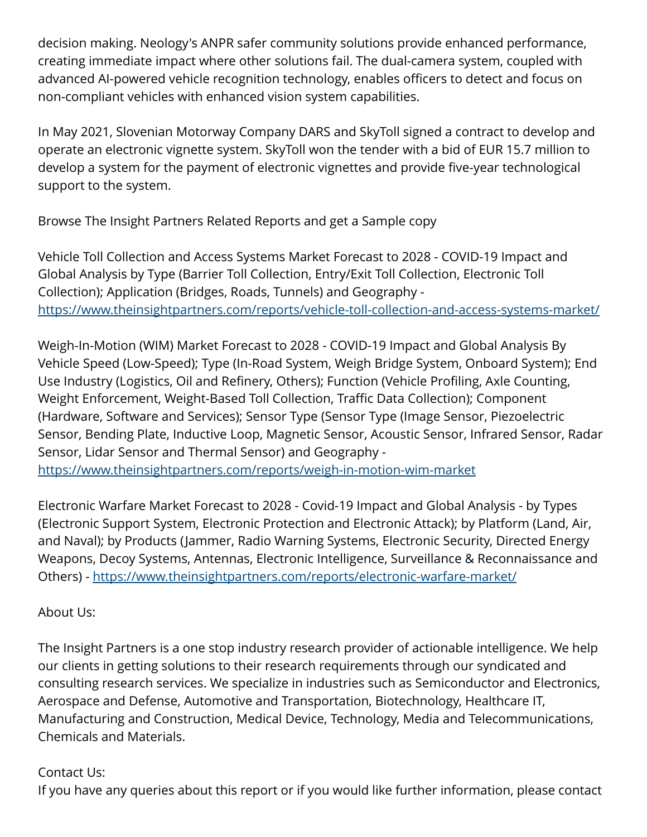decision making. Neology's ANPR safer community solutions provide enhanced performance, creating immediate impact where other solutions fail. The dual-camera system, coupled with advanced AI-powered vehicle recognition technology, enables officers to detect and focus on non-compliant vehicles with enhanced vision system capabilities.

In May 2021, Slovenian Motorway Company DARS and SkyToll signed a contract to develop and operate an electronic vignette system. SkyToll won the tender with a bid of EUR 15.7 million to develop a system for the payment of electronic vignettes and provide five-year technological support to the system.

Browse The Insight Partners Related Reports and get a Sample copy

Vehicle Toll Collection and Access Systems Market Forecast to 2028 - COVID-19 Impact and Global Analysis by Type (Barrier Toll Collection, Entry/Exit Toll Collection, Electronic Toll Collection); Application (Bridges, Roads, Tunnels) and Geography <https://www.theinsightpartners.com/reports/vehicle-toll-collection-and-access-systems-market/>

Weigh-In-Motion (WIM) Market Forecast to 2028 - COVID-19 Impact and Global Analysis By Vehicle Speed (Low-Speed); Type (In-Road System, Weigh Bridge System, Onboard System); End Use Industry (Logistics, Oil and Refinery, Others); Function (Vehicle Profiling, Axle Counting, Weight Enforcement, Weight-Based Toll Collection, Traffic Data Collection); Component (Hardware, Software and Services); Sensor Type (Sensor Type (Image Sensor, Piezoelectric Sensor, Bending Plate, Inductive Loop, Magnetic Sensor, Acoustic Sensor, Infrared Sensor, Radar Sensor, Lidar Sensor and Thermal Sensor) and Geography -

<https://www.theinsightpartners.com/reports/weigh-in-motion-wim-market>

Electronic Warfare Market Forecast to 2028 - Covid-19 Impact and Global Analysis - by Types (Electronic Support System, Electronic Protection and Electronic Attack); by Platform (Land, Air, and Naval); by Products (Jammer, Radio Warning Systems, Electronic Security, Directed Energy Weapons, Decoy Systems, Antennas, Electronic Intelligence, Surveillance & Reconnaissance and Others) - <https://www.theinsightpartners.com/reports/electronic-warfare-market/>

## About Us:

The Insight Partners is a one stop industry research provider of actionable intelligence. We help our clients in getting solutions to their research requirements through our syndicated and consulting research services. We specialize in industries such as Semiconductor and Electronics, Aerospace and Defense, Automotive and Transportation, Biotechnology, Healthcare IT, Manufacturing and Construction, Medical Device, Technology, Media and Telecommunications, Chemicals and Materials.

## Contact Us:

If you have any queries about this report or if you would like further information, please contact